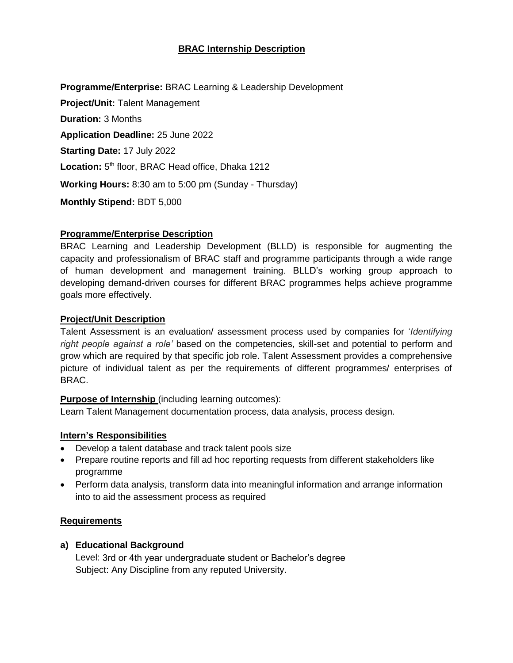## **BRAC Internship Description**

**Programme/Enterprise:** BRAC Learning & Leadership Development **Project/Unit:** Talent Management **Duration:** 3 Months **Application Deadline:** 25 June 2022 **Starting Date:** 17 July 2022 Location: 5<sup>th</sup> floor, BRAC Head office, Dhaka 1212 **Working Hours:** 8:30 am to 5:00 pm (Sunday - Thursday) **Monthly Stipend:** BDT 5,000

### **Programme/Enterprise Description**

BRAC Learning and Leadership Development (BLLD) is responsible for augmenting the capacity and professionalism of BRAC staff and programme participants through a wide range of human development and management training. BLLD's working group approach to developing demand-driven courses for different BRAC programmes helps achieve programme goals more effectively.

### **Project/Unit Description**

Talent Assessment is an evaluation/ assessment process used by companies for '*Identifying right people against a role'* based on the competencies, skill-set and potential to perform and grow which are required by that specific job role. Talent Assessment provides a comprehensive picture of individual talent as per the requirements of different programmes/ enterprises of BRAC.

#### **Purpose of Internship** (including learning outcomes):

Learn Talent Management documentation process, data analysis, process design.

#### **Intern's Responsibilities**

- Develop a talent database and track talent pools size
- Prepare routine reports and fill ad hoc reporting requests from different stakeholders like programme
- Perform data analysis, transform data into meaningful information and arrange information into to aid the assessment process as required

#### **Requirements**

### **a) Educational Background**

Level: 3rd or 4th year undergraduate student or Bachelor's degree Subject: Any Discipline from any reputed University.